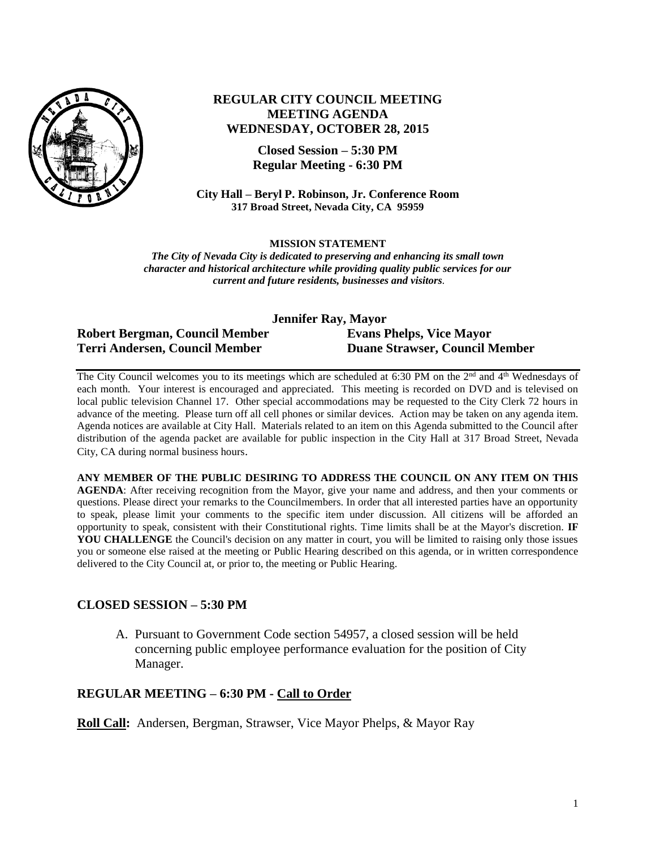

# **REGULAR CITY COUNCIL MEETING MEETING AGENDA WEDNESDAY, OCTOBER 28, 2015**

**Closed Session – 5:30 PM Regular Meeting - 6:30 PM**

**City Hall – Beryl P. Robinson, Jr. Conference Room 317 Broad Street, Nevada City, CA 95959**

#### **MISSION STATEMENT**

*The City of Nevada City is dedicated to preserving and enhancing its small town character and historical architecture while providing quality public services for our current and future residents, businesses and visitors.*

| Jennifer Ray, Mayor            |                                       |
|--------------------------------|---------------------------------------|
| Robert Bergman, Council Member | <b>Evans Phelps, Vice Mayor</b>       |
| Terri Andersen, Council Member | <b>Duane Strawser, Council Member</b> |

The City Council welcomes you to its meetings which are scheduled at 6:30 PM on the 2<sup>nd</sup> and 4<sup>th</sup> Wednesdays of each month. Your interest is encouraged and appreciated. This meeting is recorded on DVD and is televised on local public television Channel 17. Other special accommodations may be requested to the City Clerk 72 hours in advance of the meeting. Please turn off all cell phones or similar devices. Action may be taken on any agenda item. Agenda notices are available at City Hall. Materials related to an item on this Agenda submitted to the Council after distribution of the agenda packet are available for public inspection in the City Hall at 317 Broad Street, Nevada City, CA during normal business hours.

**ANY MEMBER OF THE PUBLIC DESIRING TO ADDRESS THE COUNCIL ON ANY ITEM ON THIS AGENDA**: After receiving recognition from the Mayor, give your name and address, and then your comments or questions. Please direct your remarks to the Councilmembers. In order that all interested parties have an opportunity to speak, please limit your comments to the specific item under discussion. All citizens will be afforded an opportunity to speak, consistent with their Constitutional rights. Time limits shall be at the Mayor's discretion. **IF**  YOU CHALLENGE the Council's decision on any matter in court, you will be limited to raising only those issues you or someone else raised at the meeting or Public Hearing described on this agenda, or in written correspondence delivered to the City Council at, or prior to, the meeting or Public Hearing.

## **CLOSED SESSION – 5:30 PM**

A. Pursuant to Government Code section 54957, a closed session will be held concerning public employee performance evaluation for the position of City Manager.

## **REGULAR MEETING – 6:30 PM - Call to Order**

**Roll Call:** Andersen, Bergman, Strawser, Vice Mayor Phelps, & Mayor Ray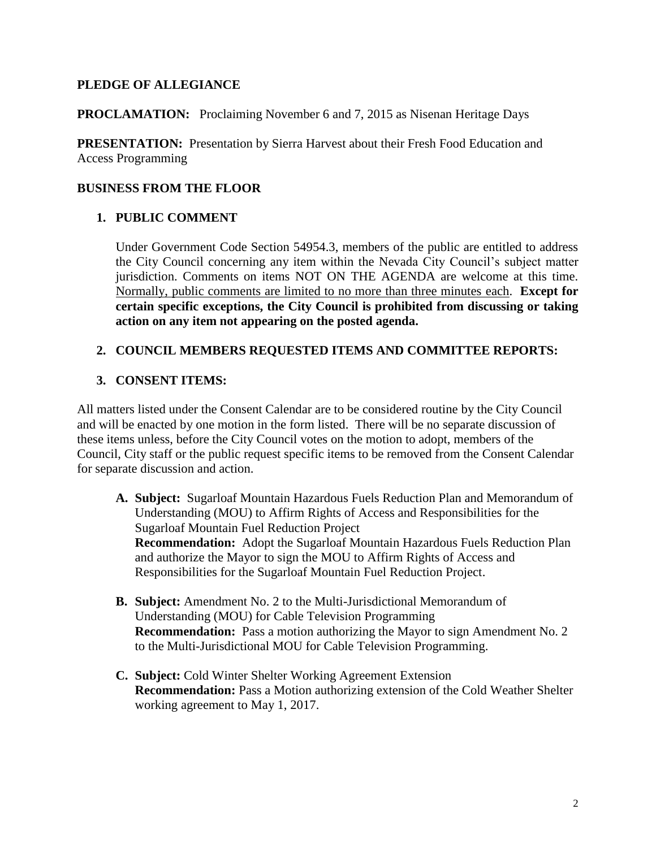# **PLEDGE OF ALLEGIANCE**

#### **PROCLAMATION:** Proclaiming November 6 and 7, 2015 as Nisenan Heritage Days

**PRESENTATION:** Presentation by Sierra Harvest about their Fresh Food Education and Access Programming

## **BUSINESS FROM THE FLOOR**

## **1. PUBLIC COMMENT**

Under Government Code Section 54954.3, members of the public are entitled to address the City Council concerning any item within the Nevada City Council's subject matter jurisdiction. Comments on items NOT ON THE AGENDA are welcome at this time. Normally, public comments are limited to no more than three minutes each. **Except for certain specific exceptions, the City Council is prohibited from discussing or taking action on any item not appearing on the posted agenda.**

# **2. COUNCIL MEMBERS REQUESTED ITEMS AND COMMITTEE REPORTS:**

# **3. CONSENT ITEMS:**

All matters listed under the Consent Calendar are to be considered routine by the City Council and will be enacted by one motion in the form listed. There will be no separate discussion of these items unless, before the City Council votes on the motion to adopt, members of the Council, City staff or the public request specific items to be removed from the Consent Calendar for separate discussion and action.

- **A. Subject:** Sugarloaf Mountain Hazardous Fuels Reduction Plan and Memorandum of Understanding (MOU) to Affirm Rights of Access and Responsibilities for the Sugarloaf Mountain Fuel Reduction Project **Recommendation:** Adopt the Sugarloaf Mountain Hazardous Fuels Reduction Plan and authorize the Mayor to sign the MOU to Affirm Rights of Access and Responsibilities for the Sugarloaf Mountain Fuel Reduction Project.
- **B. Subject:** Amendment No. 2 to the Multi-Jurisdictional Memorandum of Understanding (MOU) for Cable Television Programming **Recommendation:** Pass a motion authorizing the Mayor to sign Amendment No. 2 to the Multi-Jurisdictional MOU for Cable Television Programming.
- **C. Subject:** Cold Winter Shelter Working Agreement Extension **Recommendation:** Pass a Motion authorizing extension of the Cold Weather Shelter working agreement to May 1, 2017.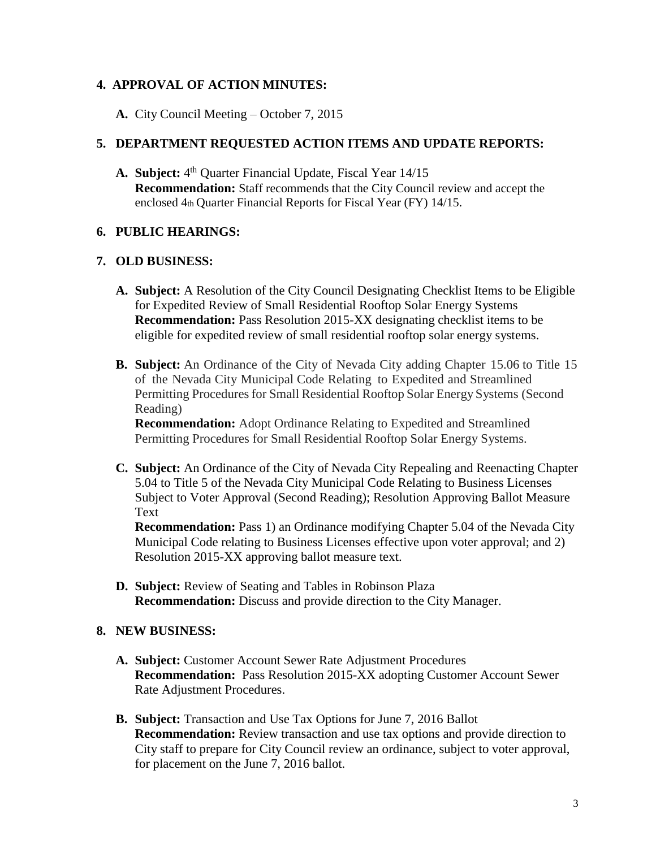# **4. APPROVAL OF ACTION MINUTES:**

**A.** City Council Meeting – October 7, 2015

## **5. DEPARTMENT REQUESTED ACTION ITEMS AND UPDATE REPORTS:**

A. Subject: 4<sup>th</sup> Quarter Financial Update, Fiscal Year 14/15 **Recommendation:** Staff recommends that the City Council review and accept the enclosed 4th Quarter Financial Reports for Fiscal Year (FY) 14/15.

## **6. PUBLIC HEARINGS:**

## **7. OLD BUSINESS:**

- **A. Subject:** A Resolution of the City Council Designating Checklist Items to be Eligible for Expedited Review of Small Residential Rooftop Solar Energy Systems **Recommendation:** Pass Resolution 2015-XX designating checklist items to be eligible for expedited review of small residential rooftop solar energy systems.
- **B. Subject:** An Ordinance of the City of Nevada City adding Chapter 15.06 to Title 15 of the Nevada City Municipal Code Relating to Expedited and Streamlined Permitting Procedures for Small Residential Rooftop Solar Energy Systems (Second Reading)

**Recommendation:** Adopt Ordinance Relating to Expedited and Streamlined Permitting Procedures for Small Residential Rooftop Solar Energy Systems.

**C. Subject:** An Ordinance of the City of Nevada City Repealing and Reenacting Chapter 5.04 to Title 5 of the Nevada City Municipal Code Relating to Business Licenses Subject to Voter Approval (Second Reading); Resolution Approving Ballot Measure Text

**Recommendation:** Pass 1) an Ordinance modifying Chapter 5.04 of the Nevada City Municipal Code relating to Business Licenses effective upon voter approval; and 2) Resolution 2015-XX approving ballot measure text.

**D. Subject:** Review of Seating and Tables in Robinson Plaza **Recommendation:** Discuss and provide direction to the City Manager.

## **8. NEW BUSINESS:**

- **A. Subject:** Customer Account Sewer Rate Adjustment Procedures **Recommendation:** Pass Resolution 2015-XX adopting Customer Account Sewer Rate Adjustment Procedures.
- **B. Subject:** Transaction and Use Tax Options for June 7, 2016 Ballot **Recommendation:** Review transaction and use tax options and provide direction to City staff to prepare for City Council review an ordinance, subject to voter approval, for placement on the June 7, 2016 ballot.